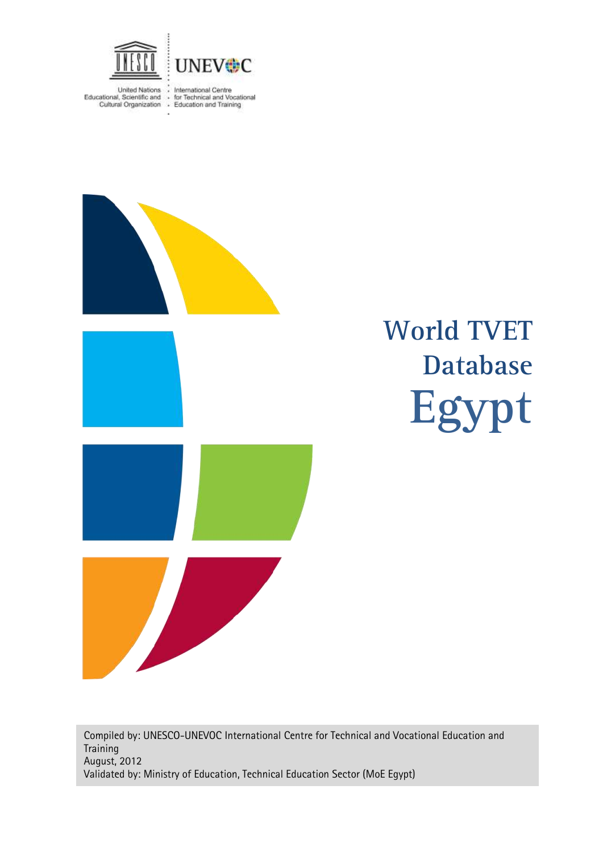

United Nations : International Centre<br>Educational, Scientific and : for Technical and Vocational<br>Cultural Organization : Education and Training



# **Egypt World TVET Database**

Compiled by: UNESCO-UNEVOC International Centre for Technical and Vocational Education and **Training** August, 2012 Validated by: Ministry of Education, Technical Education Sector (MoE Egypt)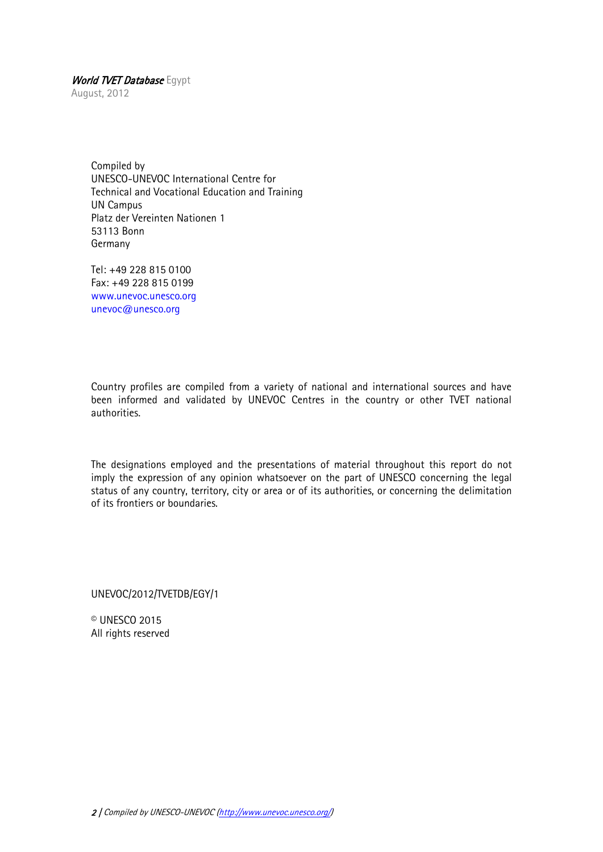August, 2012

Compiled by UNESCO-UNEVOC International Centre for Technical and Vocational Education and Training UN Campus Platz der Vereinten Nationen 1 53113 Bonn Germany

Tel: +49 228 815 0100 Fax: +49 228 815 0199 [www.unevoc.unesco.org](http://www.unevoc.unesco.org/) [unevoc@unesco.org](mailto:unevoc@unesco.org)

Country profiles are compiled from a variety of national and international sources and have been informed and validated by UNEVOC Centres in the country or other TVET national authorities.

The designations employed and the presentations of material throughout this report do not imply the expression of any opinion whatsoever on the part of UNESCO concerning the legal status of any country, territory, city or area or of its authorities, or concerning the delimitation of its frontiers or boundaries.

UNEVOC/2012/TVETDB/EGY/1

© UNESCO 2015 All rights reserved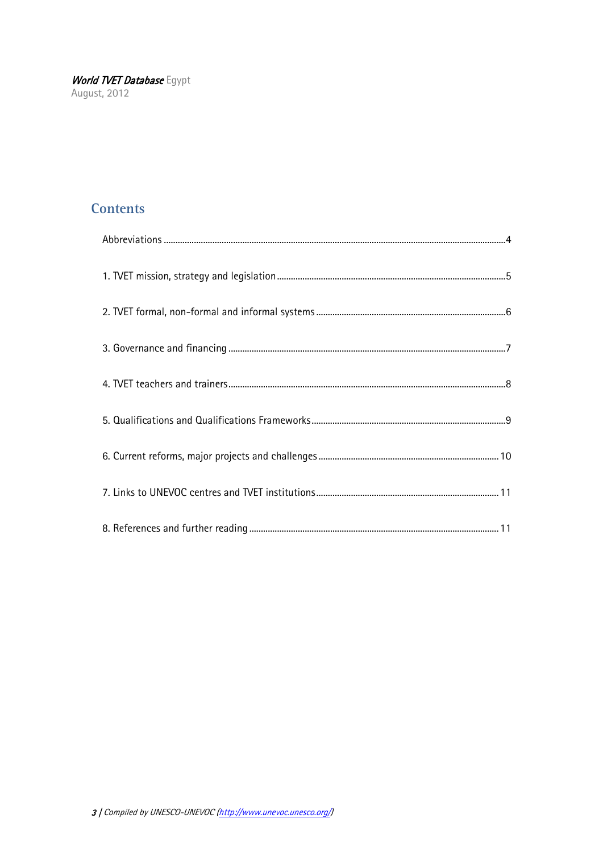## **Contents**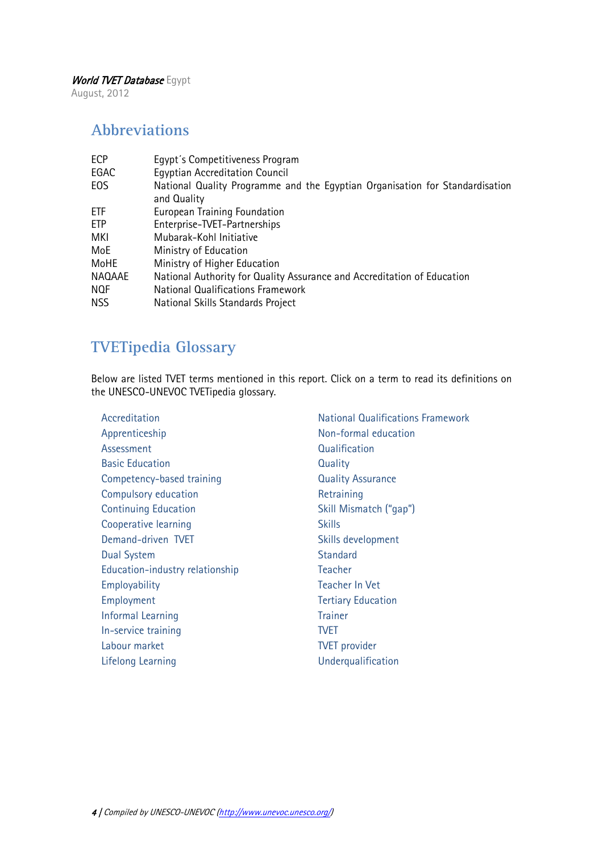August, 2012

# <span id="page-3-0"></span>**Abbreviations**

| Egypt's Competitiveness Program                                              |
|------------------------------------------------------------------------------|
| <b>Egyptian Accreditation Council</b>                                        |
| National Quality Programme and the Egyptian Organisation for Standardisation |
| and Quality                                                                  |
| European Training Foundation                                                 |
| Enterprise-TVET-Partnerships                                                 |
| Mubarak-Kohl Initiative                                                      |
| Ministry of Education                                                        |
| Ministry of Higher Education                                                 |
| National Authority for Quality Assurance and Accreditation of Education      |
| <b>National Qualifications Framework</b>                                     |
| National Skills Standards Project                                            |
|                                                                              |

# **TVETipedia Glossary**

Below are listed TVET terms mentioned in this report. Click on a term to read its definitions on the UNESCO-UNEVOC TVETipedia glossary.

| Accreditation                   | <b>National Qualifications Framework</b> |
|---------------------------------|------------------------------------------|
| Apprenticeship                  | Non-formal education                     |
| Assessment                      | Qualification                            |
| <b>Basic Education</b>          | Quality                                  |
| Competency-based training       | <b>Quality Assurance</b>                 |
| Compulsory education            | Retraining                               |
| <b>Continuing Education</b>     | Skill Mismatch ("gap")                   |
| Cooperative learning            | <b>Skills</b>                            |
| Demand-driven TVET              | Skills development                       |
| <b>Dual System</b>              | <b>Standard</b>                          |
| Education-industry relationship | Teacher                                  |
| Employability                   | <b>Teacher In Vet</b>                    |
| Employment                      | <b>Tertiary Education</b>                |
| Informal Learning               | <b>Trainer</b>                           |
| In-service training             | <b>TVET</b>                              |
| Labour market                   | <b>TVET</b> provider                     |
| Lifelong Learning               | Underqualification                       |
|                                 |                                          |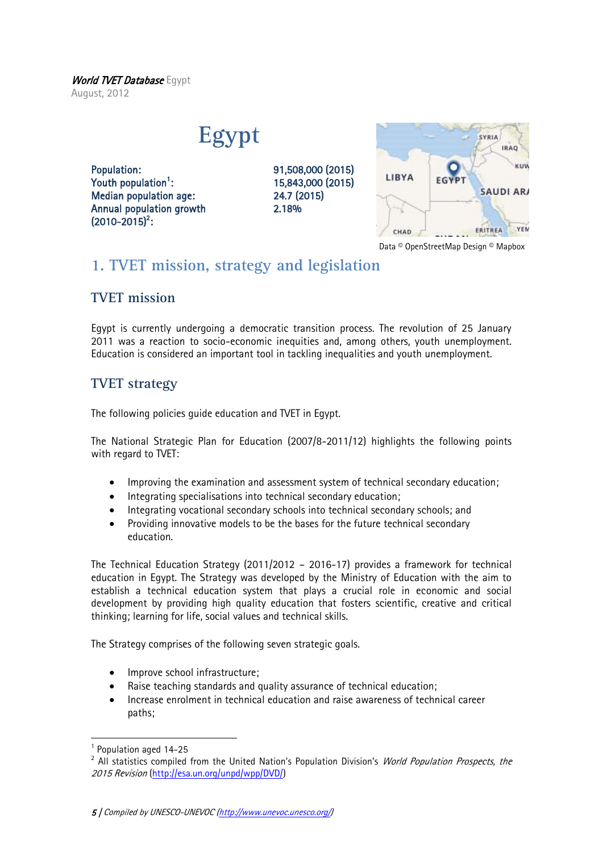#### World TVET Database Egypt August, 2012

**Egypt**

Population: 91,508,000 (2015) Youth population<sup>1</sup>: Median population age: 24.7 (2015) Annual population growth 2.18%  $(2010 - 2015)^2$ :

: 15,843,000 (2015)



Data © OpenStreetMap Design © Mapbox

# <span id="page-4-0"></span>**1. TVET mission, strategy and legislation**

## **TVET mission**

Egypt is currently undergoing a democratic transition process. The revolution of 25 January 2011 was a reaction to socio-economic inequities and, among others, youth unemployment. Education is considered an important tool in tackling inequalities and youth unemployment.

## **TVET strategy**

The following policies guide education and TVET in Egypt.

The National Strategic Plan for Education (2007/8-2011/12) highlights the following points with regard to TVET:

- Improving the examination and assessment system of technical secondary education;
- Integrating specialisations into technical secondary education;
- Integrating vocational secondary schools into technical secondary schools; and
- Providing innovative models to be the bases for the future technical secondary education.

The Technical Education Strategy (2011/2012 – 2016-17) provides a framework for technical education in Egypt. The Strategy was developed by the Ministry of Education with the aim to establish a technical education system that plays a crucial role in economic and social development by providing high quality education that fosters scientific, creative and critical thinking; learning for life, social values and technical skills.

The Strategy comprises of the following seven strategic goals.

- Improve school infrastructure;
- Raise teaching standards and quality assurance of technical education;
- Increase enrolment in technical education and raise awareness of technical career paths;

1

<sup>&</sup>lt;sup>1</sup> Population aged 14-25

<sup>&</sup>lt;sup>2</sup> All statistics compiled from the United Nation's Population Division's *World Population Prospects, the* 2015 Revision [\(http://esa.un.org/unpd/wpp/DVD/\)](http://esa.un.org/unpd/wpp/DVD/)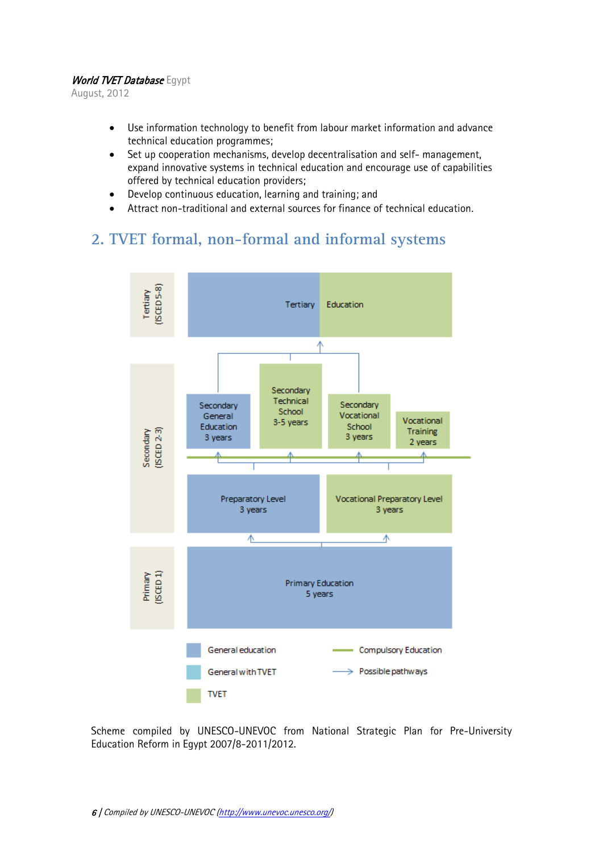August, 2012

- Use information technology to benefit from labour market information and advance technical education programmes;
- Set up cooperation mechanisms, develop decentralisation and self- management, expand innovative systems in technical education and encourage use of capabilities offered by technical education providers;
- Develop continuous education, learning and training; and
- Attract non-traditional and external sources for finance of technical education.

# <span id="page-5-0"></span>**2. TVET formal, non-formal and informal systems**



Scheme compiled by UNESCO-UNEVOC from National Strategic Plan for Pre-University Education Reform in Egypt 2007/8-2011/2012.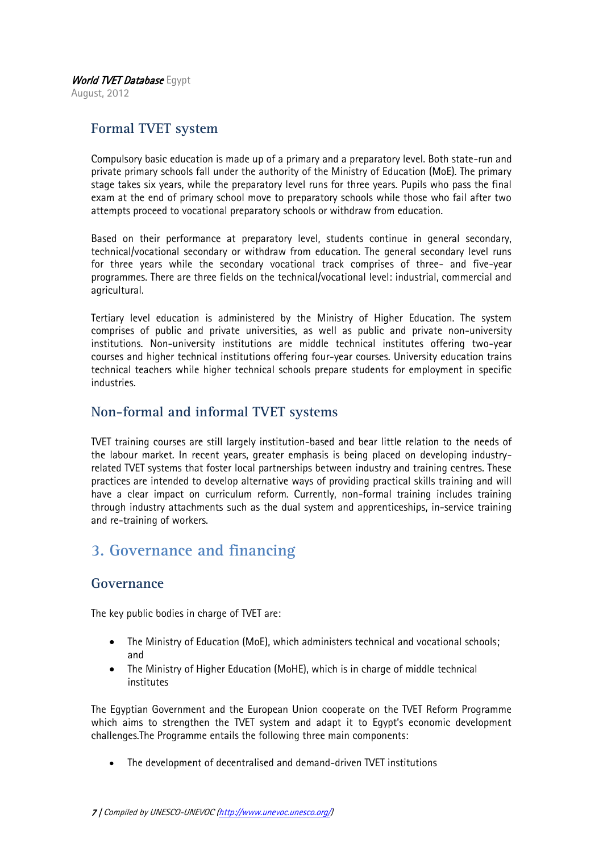August, 2012

## **Formal TVET system**

Compulsory basic education is made up of a primary and a preparatory level. Both state-run and private primary schools fall under the authority of the Ministry of Education (MoE). The primary stage takes six years, while the preparatory level runs for three years. Pupils who pass the final exam at the end of primary school move to preparatory schools while those who fail after two attempts proceed to vocational preparatory schools or withdraw from education.

Based on their performance at preparatory level, students continue in general secondary, technical/vocational secondary or withdraw from education. The general secondary level runs for three years while the secondary vocational track comprises of three- and five-year programmes. There are three fields on the technical/vocational level: industrial, commercial and agricultural.

Tertiary level education is administered by the Ministry of Higher Education. The system comprises of public and private universities, as well as public and private non-university institutions. Non-university institutions are middle technical institutes offering two-year courses and higher technical institutions offering four-year courses. University education trains technical teachers while higher technical schools prepare students for employment in specific industries.

#### **Non-formal and informal TVET systems**

TVET training courses are still largely institution-based and bear little relation to the needs of the labour market. In recent years, greater emphasis is being placed on developing industryrelated TVET systems that foster local partnerships between industry and training centres. These practices are intended to develop alternative ways of providing practical skills training and will have a clear impact on curriculum reform. Currently, non-formal training includes training through industry attachments such as the dual system and apprenticeships, in-service training and re-training of workers.

# <span id="page-6-0"></span>**3. Governance and financing**

#### **Governance**

The key public bodies in charge of TVET are:

- The Ministry of Education (MoE), which administers technical and vocational schools; and
- The Ministry of Higher Education (MoHE), which is in charge of middle technical institutes

The Egyptian Government and the European Union cooperate on the TVET Reform Programme which aims to strengthen the TVET system and adapt it to Egypt's economic development challenges.The Programme entails the following three main components:

The development of decentralised and demand-driven TVET institutions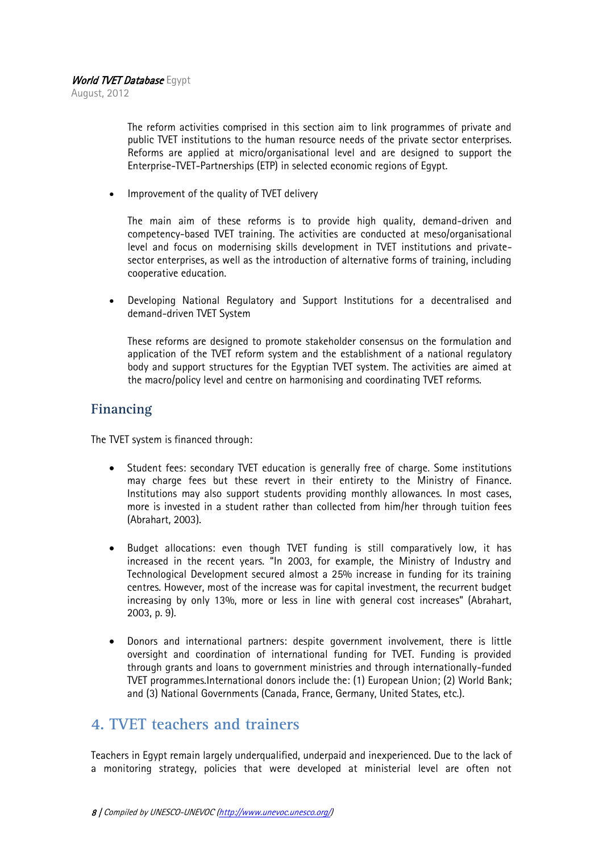August, 2012

The reform activities comprised in this section aim to link programmes of private and public TVET institutions to the human resource needs of the private sector enterprises. Reforms are applied at micro/organisational level and are designed to support the Enterprise-TVET-Partnerships (ETP) in selected economic regions of Egypt.

Improvement of the quality of TVET delivery

The main aim of these reforms is to provide high quality, demand-driven and competency-based TVET training. The activities are conducted at meso/organisational level and focus on modernising skills development in TVET institutions and privatesector enterprises, as well as the introduction of alternative forms of training, including cooperative education.

 Developing National Regulatory and Support Institutions for a decentralised and demand-driven TVET System

These reforms are designed to promote stakeholder consensus on the formulation and application of the TVET reform system and the establishment of a national regulatory body and support structures for the Egyptian TVET system. The activities are aimed at the macro/policy level and centre on harmonising and coordinating TVET reforms.

## **Financing**

The TVET system is financed through:

- Student fees: secondary TVET education is generally free of charge. Some institutions may charge fees but these revert in their entirety to the Ministry of Finance. Institutions may also support students providing monthly allowances. In most cases, more is invested in a student rather than collected from him/her through tuition fees (Abrahart, 2003).
- Budget allocations: even though TVET funding is still comparatively low, it has increased in the recent years. "In 2003, for example, the Ministry of Industry and Technological Development secured almost a 25% increase in funding for its training centres. However, most of the increase was for capital investment, the recurrent budget increasing by only 13%, more or less in line with general cost increases" (Abrahart, 2003, p. 9).
- Donors and international partners: despite government involvement, there is little oversight and coordination of international funding for TVET. Funding is provided through grants and loans to government ministries and through internationally-funded TVET programmes.International donors include the: (1) European Union; (2) World Bank; and (3) National Governments (Canada, France, Germany, United States, etc.).

## <span id="page-7-0"></span>**4. TVET teachers and trainers**

Teachers in Egypt remain largely underqualified, underpaid and inexperienced. Due to the lack of a monitoring strategy, policies that were developed at ministerial level are often not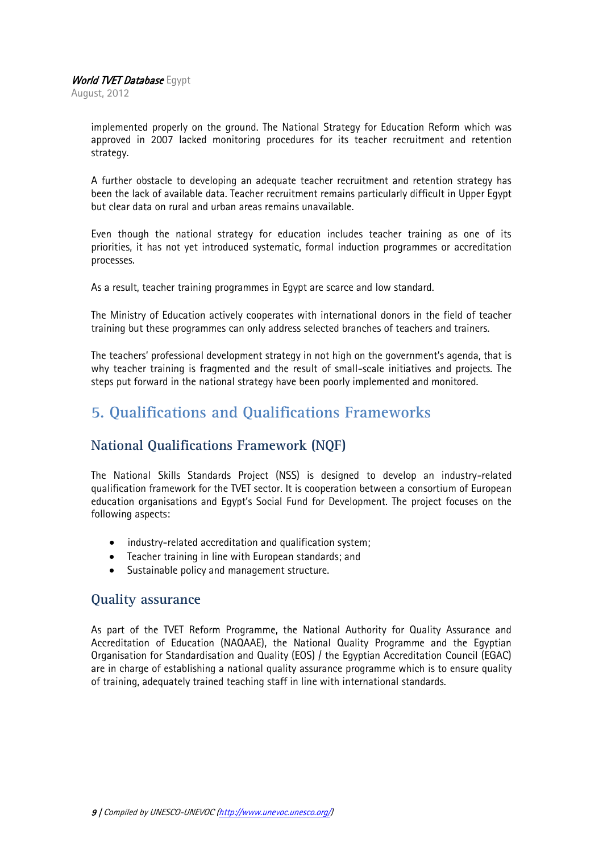August, 2012

implemented properly on the ground. The National Strategy for Education Reform which was approved in 2007 lacked monitoring procedures for its teacher recruitment and retention strategy.

A further obstacle to developing an adequate teacher recruitment and retention strategy has been the lack of available data. Teacher recruitment remains particularly difficult in Upper Egypt but clear data on rural and urban areas remains unavailable.

Even though the national strategy for education includes teacher training as one of its priorities, it has not yet introduced systematic, formal induction programmes or accreditation processes.

As a result, teacher training programmes in Egypt are scarce and low standard.

The Ministry of Education actively cooperates with international donors in the field of teacher training but these programmes can only address selected branches of teachers and trainers.

The teachers' professional development strategy in not high on the government's agenda, that is why teacher training is fragmented and the result of small-scale initiatives and projects. The steps put forward in the national strategy have been poorly implemented and monitored.

# <span id="page-8-0"></span>**5. Qualifications and Qualifications Frameworks**

## **National Qualifications Framework (NQF)**

The National Skills Standards Project (NSS) is designed to develop an industry-related qualification framework for the TVET sector. It is cooperation between a consortium of European education organisations and Egypt's Social Fund for Development. The project focuses on the following aspects:

- industry-related accreditation and qualification system;
- Teacher training in line with European standards; and
- Sustainable policy and management structure.

#### **Quality assurance**

As part of the TVET Reform Programme, the National Authority for Quality Assurance and Accreditation of Education (NAQAAE), the National Quality Programme and the Egyptian Organisation for Standardisation and Quality (EOS) / the Egyptian Accreditation Council (EGAC) are in charge of establishing a national quality assurance programme which is to ensure quality of training, adequately trained teaching staff in line with international standards.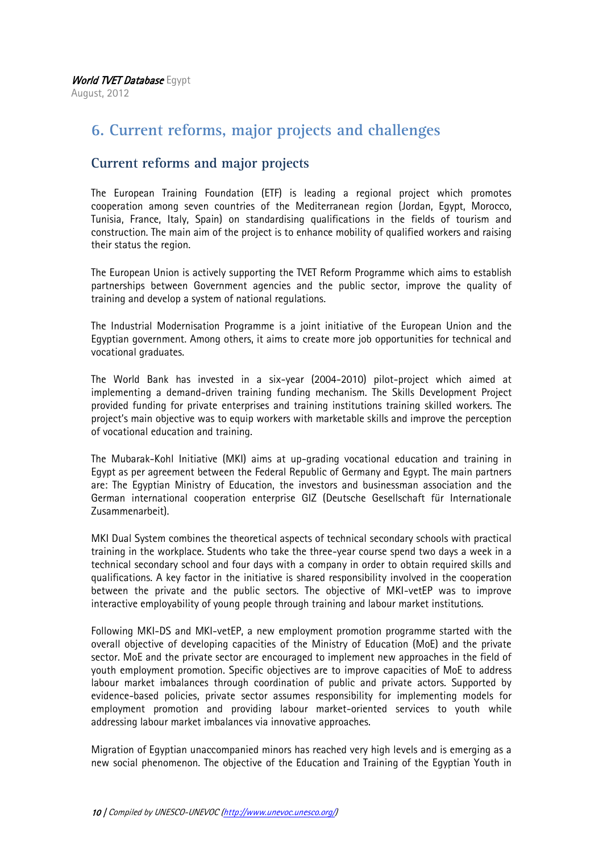August, 2012

# <span id="page-9-0"></span>**6. Current reforms, major projects and challenges**

## **Current reforms and major projects**

The European Training Foundation (ETF) is leading a regional project which promotes cooperation among seven countries of the Mediterranean region (Jordan, Egypt, Morocco, Tunisia, France, Italy, Spain) on standardising qualifications in the fields of tourism and construction. The main aim of the project is to enhance mobility of qualified workers and raising their status the region.

The European Union is actively supporting the TVET Reform Programme which aims to establish partnerships between Government agencies and the public sector, improve the quality of training and develop a system of national regulations.

The Industrial Modernisation Programme is a joint initiative of the European Union and the Egyptian government. Among others, it aims to create more job opportunities for technical and vocational graduates.

The World Bank has invested in a six-year (2004-2010) pilot-project which aimed at implementing a demand-driven training funding mechanism. The Skills Development Project provided funding for private enterprises and training institutions training skilled workers. The project's main objective was to equip workers with marketable skills and improve the perception of vocational education and training.

The Mubarak-Kohl Initiative (MKI) aims at up-grading vocational education and training in Egypt as per agreement between the Federal Republic of Germany and Egypt. The main partners are: The Egyptian Ministry of Education, the investors and businessman association and the German international cooperation enterprise GIZ (Deutsche Gesellschaft für Internationale Zusammenarbeit).

MKI Dual System combines the theoretical aspects of technical secondary schools with practical training in the workplace. Students who take the three-year course spend two days a week in a technical secondary school and four days with a company in order to obtain required skills and qualifications. A key factor in the initiative is shared responsibility involved in the cooperation between the private and the public sectors. The objective of MKI-vetEP was to improve interactive employability of young people through training and labour market institutions.

Following MKI-DS and MKI-vetEP, a new employment promotion programme started with the overall objective of developing capacities of the Ministry of Education (MoE) and the private sector. MoE and the private sector are encouraged to implement new approaches in the field of youth employment promotion. Specific objectives are to improve capacities of MoE to address labour market imbalances through coordination of public and private actors. Supported by evidence-based policies, private sector assumes responsibility for implementing models for employment promotion and providing labour market-oriented services to youth while addressing labour market imbalances via innovative approaches.

Migration of Egyptian unaccompanied minors has reached very high levels and is emerging as a new social phenomenon. The objective of the Education and Training of the Egyptian Youth in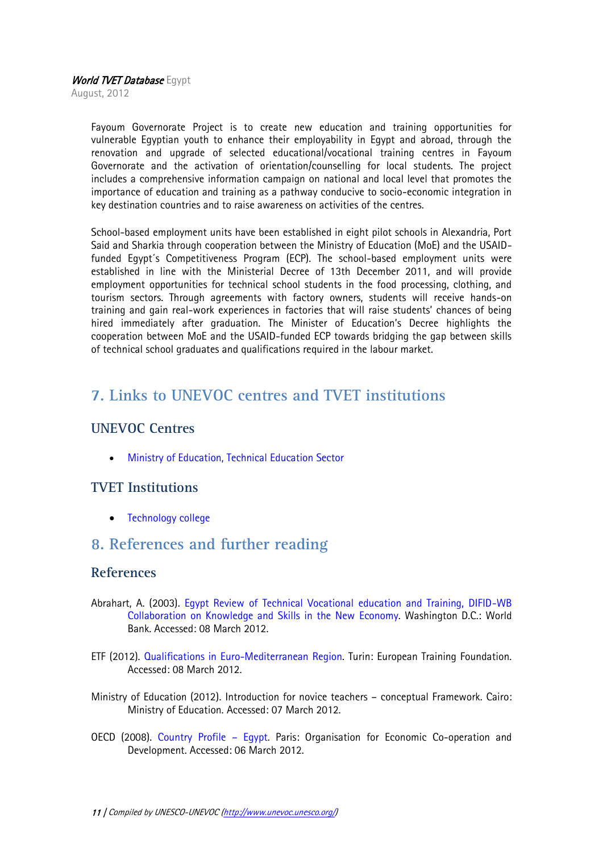August, 2012

Fayoum Governorate Project is to create new education and training opportunities for vulnerable Egyptian youth to enhance their employability in Egypt and abroad, through the renovation and upgrade of selected educational/vocational training centres in Fayoum Governorate and the activation of orientation/counselling for local students. The project includes a comprehensive information campaign on national and local level that promotes the importance of education and training as a pathway conducive to socio-economic integration in key destination countries and to raise awareness on activities of the centres.

School-based employment units have been established in eight pilot schools in Alexandria, Port Said and Sharkia through cooperation between the Ministry of Education (MoE) and the USAIDfunded Egypt´s Competitiveness Program (ECP). The school-based employment units were established in line with the Ministerial Decree of 13th December 2011, and will provide employment opportunities for technical school students in the food processing, clothing, and tourism sectors. Through agreements with factory owners, students will receive hands-on training and gain real-work experiences in factories that will raise students' chances of being hired immediately after graduation. The Minister of Education's Decree highlights the cooperation between MoE and the USAID-funded ECP towards bridging the gap between skills of technical school graduates and qualifications required in the labour market.

# <span id="page-10-0"></span>**7. Links to UNEVOC centres and TVET institutions**

## **UNEVOC Centres**

[Ministry of Education, Technical Education Sector](http://www.unevoc.unesco.org/go.php?q=UNEVOC+Network+-+Centre&id=432)

## **TVET Institutions**

• Technology college

## <span id="page-10-1"></span>**8. References and further reading**

#### **References**

- Abrahart, A. (2003). [Egypt Review of Technical Vocational education and Training, DIFID-WB](http://siteresources.worldbank.org/EDUCATION/Resources/278200-1126210664195/1636971-1126210694253/Egypt_Country_Report.pdf)  [Collaboration on Knowledge and Skills in the New](http://siteresources.worldbank.org/EDUCATION/Resources/278200-1126210664195/1636971-1126210694253/Egypt_Country_Report.pdf) Economy. Washington D.C.: World Bank. Accessed: 08 March 2012.
- ETF (2012). [Qualifications in Euro-Mediterranean Region.](http://www.etf.europa.eu/web.nsf/pages/Qualifications_in_Euro_Mediterranean_Region_EN) Turin: European Training Foundation. Accessed: 08 March 2012.
- Ministry of Education (2012). Introduction for novice teachers conceptual Framework. Cairo: Ministry of Education. Accessed: 07 March 2012.
- OECD (2008). [Country Profile](http://www.oecd.org/dataoecd/13/36/40577424.pdf)  Egypt. Paris: Organisation for Economic Co-operation and Development. Accessed: 06 March 2012.